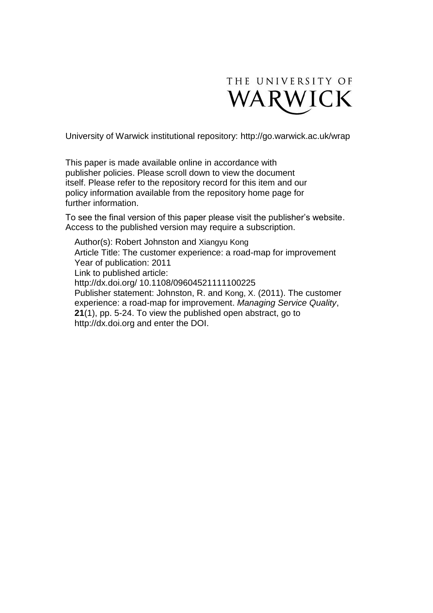

University of Warwick institutional repository:<http://go.warwick.ac.uk/wrap>

This paper is made available online in accordance with publisher policies. Please scroll down to view the document itself. Please refer to the repository record for this item and our policy information available from the repository home page for further information.

To see the final version of this paper please visit the publisher's website. Access to the published version may require a subscription.

Author(s): Robert Johnston and Xiangyu Kong Article Title: The customer experience: a road-map for improvement Year of publication: 2011 Link to published article: http://dx.doi.org/ 10.1108/09604521111100225 Publisher statement: Johnston, R. and Kong, X. (2011). The customer experience: a road-map for improvement. *Managing Service Quality*, **21**(1), pp. 5-24. To view the published open abstract, go to http://dx.doi.org and enter the DOI.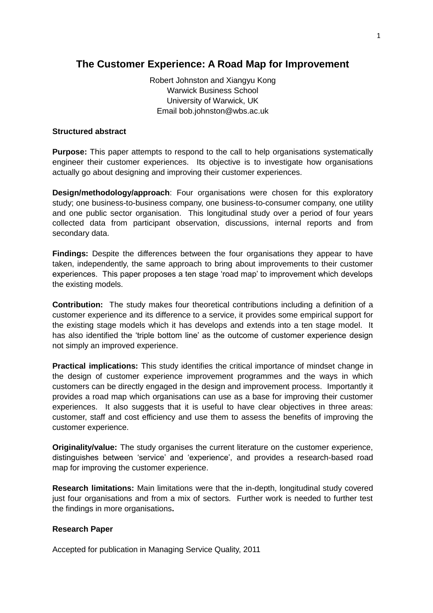# **The Customer Experience: A Road Map for Improvement**

Robert Johnston and Xiangyu Kong Warwick Business School University of Warwick, UK Email bob.johnston@wbs.ac.uk

# **Structured abstract**

**Purpose:** This paper attempts to respond to the call to help organisations systematically engineer their customer experiences. Its objective is to investigate how organisations actually go about designing and improving their customer experiences.

**Design/methodology/approach**: Four organisations were chosen for this exploratory study; one business-to-business company, one business-to-consumer company, one utility and one public sector organisation. This longitudinal study over a period of four years collected data from participant observation, discussions, internal reports and from secondary data.

**Findings:** Despite the differences between the four organisations they appear to have taken, independently, the same approach to bring about improvements to their customer experiences. This paper proposes a ten stage "road map" to improvement which develops the existing models.

**Contribution:** The study makes four theoretical contributions including a definition of a customer experience and its difference to a service, it provides some empirical support for the existing stage models which it has develops and extends into a ten stage model. It has also identified the "triple bottom line" as the outcome of customer experience design not simply an improved experience.

**Practical implications:** This study identifies the critical importance of mindset change in the design of customer experience improvement programmes and the ways in which customers can be directly engaged in the design and improvement process. Importantly it provides a road map which organisations can use as a base for improving their customer experiences. It also suggests that it is useful to have clear objectives in three areas: customer, staff and cost efficiency and use them to assess the benefits of improving the customer experience.

**Originality/value:** The study organises the current literature on the customer experience, distinguishes between "service" and "experience", and provides a research-based road map for improving the customer experience.

**Research limitations:** Main limitations were that the in-depth, longitudinal study covered just four organisations and from a mix of sectors. Further work is needed to further test the findings in more organisations**.**

## **Research Paper**

Accepted for publication in Managing Service Quality, 2011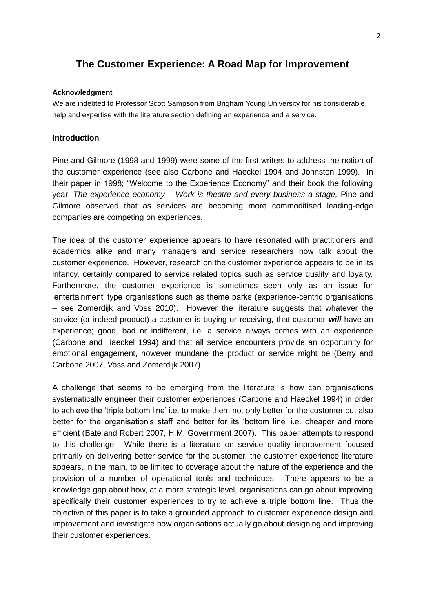# **The Customer Experience: A Road Map for Improvement**

### **Acknowledgment**

We are indebted to Professor Scott Sampson from Brigham Young University for his considerable help and expertise with the literature section defining an experience and a service.

### **Introduction**

Pine and Gilmore (1998 and 1999) were some of the first writers to address the notion of the customer experience (see also Carbone and Haeckel 1994 and Johnston 1999). In their paper in 1998; "Welcome to the Experience Economy" and their book the following year; *The experience economy – Work is theatre and every business a stage,* Pine and Gilmore observed that as services are becoming more commoditised leading-edge companies are competing on experiences.

The idea of the customer experience appears to have resonated with practitioners and academics alike and many managers and service researchers now talk about the customer experience. However, research on the customer experience appears to be in its infancy, certainly compared to service related topics such as service quality and loyalty. Furthermore, the customer experience is sometimes seen only as an issue for "entertainment" type organisations such as theme parks (experience-centric organisations – see Zomerdijk and Voss 2010). However the literature suggests that whatever the service (or indeed product) a customer is buying or receiving, that customer *will* have an experience; good, bad or indifferent, i.e. a service always comes with an experience (Carbone and Haeckel 1994) and that all service encounters provide an opportunity for emotional engagement, however mundane the product or service might be (Berry and Carbone 2007, Voss and Zomerdijk 2007).

A challenge that seems to be emerging from the literature is how can organisations systematically engineer their customer experiences (Carbone and Haeckel 1994) in order to achieve the "triple bottom line" i.e. to make them not only better for the customer but also better for the organisation"s staff and better for its "bottom line" i.e. cheaper and more efficient (Bate and Robert 2007, H.M. Government 2007). This paper attempts to respond to this challenge. While there is a literature on service quality improvement focused primarily on delivering better service for the customer, the customer experience literature appears, in the main, to be limited to coverage about the nature of the experience and the provision of a number of operational tools and techniques. There appears to be a knowledge gap about how, at a more strategic level, organisations can go about improving specifically their customer experiences to try to achieve a triple bottom line. Thus the objective of this paper is to take a grounded approach to customer experience design and improvement and investigate how organisations actually go about designing and improving their customer experiences.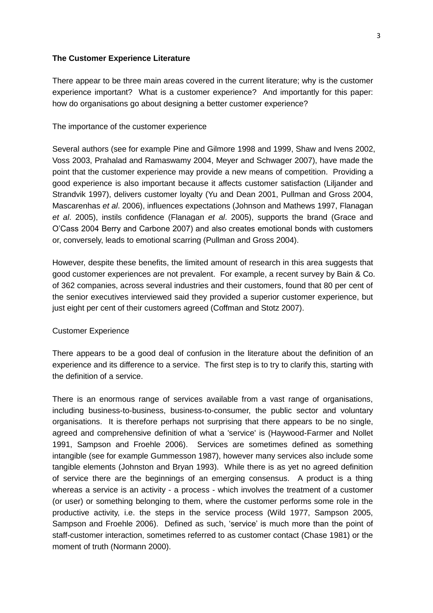## **The Customer Experience Literature**

There appear to be three main areas covered in the current literature; why is the customer experience important? What is a customer experience? And importantly for this paper: how do organisations go about designing a better customer experience?

#### The importance of the customer experience

Several authors (see for example Pine and Gilmore 1998 and 1999, Shaw and Ivens 2002, Voss 2003, Prahalad and Ramaswamy 2004, Meyer and Schwager 2007), have made the point that the customer experience may provide a new means of competition. Providing a good experience is also important because it affects customer satisfaction (Liljander and Strandvik 1997), delivers customer loyalty (Yu and Dean 2001, Pullman and Gross 2004, Mascarenhas *et al*. 2006), influences expectations (Johnson and Mathews 1997, Flanagan *et al*. 2005), instils confidence (Flanagan *et al*. 2005), supports the brand (Grace and O"Cass 2004 Berry and Carbone 2007) and also creates emotional bonds with customers or, conversely, leads to emotional scarring (Pullman and Gross 2004).

However, despite these benefits, the limited amount of research in this area suggests that good customer experiences are not prevalent. For example, a recent survey by Bain & Co. of 362 companies, across several industries and their customers, found that 80 per cent of the senior executives interviewed said they provided a superior customer experience, but just eight per cent of their customers agreed (Coffman and Stotz 2007).

#### Customer Experience

There appears to be a good deal of confusion in the literature about the definition of an experience and its difference to a service. The first step is to try to clarify this, starting with the definition of a service.

There is an enormous range of services available from a vast range of organisations, including business-to-business, business-to-consumer, the public sector and voluntary organisations. It is therefore perhaps not surprising that there appears to be no single, agreed and comprehensive definition of what a 'service' is (Haywood-Farmer and Nollet 1991, Sampson and Froehle 2006). Services are sometimes defined as something intangible (see for example Gummesson 1987), however many services also include some tangible elements (Johnston and Bryan 1993). While there is as yet no agreed definition of service there are the beginnings of an emerging consensus. A product is a thing whereas a service is an activity - a process - which involves the treatment of a customer (or user) or something belonging to them, where the customer performs some role in the productive activity, i.e. the steps in the service process (Wild 1977, Sampson 2005, Sampson and Froehle 2006). Defined as such, 'service' is much more than the point of staff-customer interaction, sometimes referred to as customer contact (Chase 1981) or the moment of truth (Normann 2000).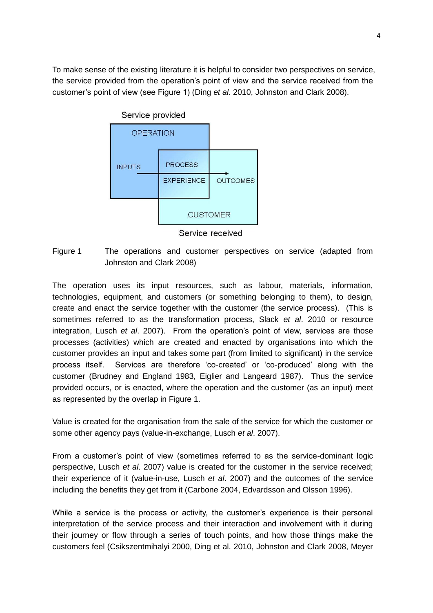To make sense of the existing literature it is helpful to consider two perspectives on service, the service provided from the operation"s point of view and the service received from the customer"s point of view (see Figure 1) (Ding *et al.* 2010, Johnston and Clark 2008).



Service received

Figure 1 The operations and customer perspectives on service (adapted from Johnston and Clark 2008)

The operation uses its input resources, such as labour, materials, information, technologies, equipment, and customers (or something belonging to them), to design, create and enact the service together with the customer (the service process). (This is sometimes referred to as the transformation process, Slack *et al*. 2010 or resource integration, Lusch *et al*. 2007). From the operation"s point of view, services are those processes (activities) which are created and enacted by organisations into which the customer provides an input and takes some part (from limited to significant) in the service process itself. Services are therefore "co-created" or "co-produced" along with the customer (Brudney and England 1983*,* Eiglier and Langeard 1987). Thus the service provided occurs, or is enacted, where the operation and the customer (as an input) meet as represented by the overlap in Figure 1.

Value is created for the organisation from the sale of the service for which the customer or some other agency pays (value-in-exchange, Lusch *et al*. 2007).

From a customer"s point of view (sometimes referred to as the service-dominant logic perspective, Lusch *et al*. 2007) value is created for the customer in the service received; their experience of it (value-in-use, Lusch *et al*. 2007) and the outcomes of the service including the benefits they get from it (Carbone 2004, Edvardsson and Olsson 1996).

While a service is the process or activity, the customer's experience is their personal interpretation of the service process and their interaction and involvement with it during their journey or flow through a series of touch points, and how those things make the customers feel (Csikszentmihalyi 2000, Ding et al. 2010, Johnston and Clark 2008, Meyer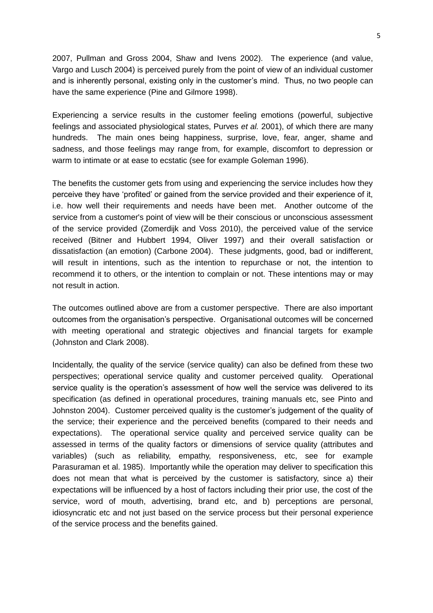2007, Pullman and Gross 2004, Shaw and Ivens 2002). The experience (and value, Vargo and Lusch 2004) is perceived purely from the point of view of an individual customer and is inherently personal, existing only in the customer's mind. Thus, no two people can have the same experience (Pine and Gilmore 1998).

Experiencing a service results in the customer feeling emotions (powerful, subjective feelings and associated physiological states, Purves *et al.* 2001), of which there are many hundreds. The main ones being happiness, surprise, love, fear, anger, shame and sadness, and those feelings may range from, for example, discomfort to depression or warm to intimate or at ease to ecstatic (see for example Goleman 1996).

The benefits the customer gets from using and experiencing the service includes how they perceive they have "profited" or gained from the service provided and their experience of it, i.e. how well their requirements and needs have been met. Another outcome of the service from a customer's point of view will be their conscious or unconscious assessment of the service provided (Zomerdijk and Voss 2010), the perceived value of the service received (Bitner and Hubbert 1994, Oliver 1997) and their overall satisfaction or dissatisfaction (an emotion) (Carbone 2004). These judgments, good, bad or indifferent, will result in intentions, such as the intention to repurchase or not, the intention to recommend it to others, or the intention to complain or not. These intentions may or may not result in action.

The outcomes outlined above are from a customer perspective. There are also important outcomes from the organisation"s perspective. Organisational outcomes will be concerned with meeting operational and strategic objectives and financial targets for example (Johnston and Clark 2008).

Incidentally, the quality of the service (service quality) can also be defined from these two perspectives; operational service quality and customer perceived quality. Operational service quality is the operation's assessment of how well the service was delivered to its specification (as defined in operational procedures, training manuals etc, see Pinto and Johnston 2004). Customer perceived quality is the customer"s judgement of the quality of the service; their experience and the perceived benefits (compared to their needs and expectations). The operational service quality and perceived service quality can be assessed in terms of the quality factors or dimensions of service quality (attributes and variables) (such as reliability, empathy, responsiveness, etc, see for example Parasuraman et al. 1985). Importantly while the operation may deliver to specification this does not mean that what is perceived by the customer is satisfactory, since a) their expectations will be influenced by a host of factors including their prior use, the cost of the service, word of mouth, advertising, brand etc, and b) perceptions are personal, idiosyncratic etc and not just based on the service process but their personal experience of the service process and the benefits gained.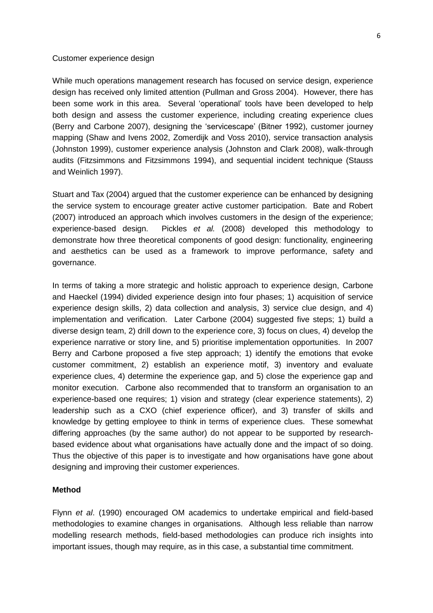#### Customer experience design

While much operations management research has focused on service design, experience design has received only limited attention (Pullman and Gross 2004). However, there has been some work in this area. Several "operational" tools have been developed to help both design and assess the customer experience, including creating experience clues (Berry and Carbone 2007), designing the "servicescape" (Bitner 1992), customer journey mapping (Shaw and Ivens 2002, Zomerdijk and Voss 2010), service transaction analysis (Johnston 1999), customer experience analysis (Johnston and Clark 2008), walk-through audits (Fitzsimmons and Fitzsimmons 1994), and sequential incident technique (Stauss and Weinlich 1997).

Stuart and Tax (2004) argued that the customer experience can be enhanced by designing the service system to encourage greater active customer participation. Bate and Robert (2007) introduced an approach which involves customers in the design of the experience; experience-based design. Pickles *et al.* (2008) developed this methodology to demonstrate how three theoretical components of good design: functionality, engineering and aesthetics can be used as a framework to improve performance, safety and governance.

In terms of taking a more strategic and holistic approach to experience design, Carbone and Haeckel (1994) divided experience design into four phases; 1) acquisition of service experience design skills, 2) data collection and analysis, 3) service clue design, and 4) implementation and verification. Later Carbone (2004) suggested five steps; 1) build a diverse design team, 2) drill down to the experience core, 3) focus on clues, 4) develop the experience narrative or story line, and 5) prioritise implementation opportunities. In 2007 Berry and Carbone proposed a five step approach; 1) identify the emotions that evoke customer commitment, 2) establish an experience motif, 3) inventory and evaluate experience clues, 4) determine the experience gap, and 5) close the experience gap and monitor execution. Carbone also recommended that to transform an organisation to an experience-based one requires; 1) vision and strategy (clear experience statements), 2) leadership such as a CXO (chief experience officer), and 3) transfer of skills and knowledge by getting employee to think in terms of experience clues. These somewhat differing approaches (by the same author) do not appear to be supported by researchbased evidence about what organisations have actually done and the impact of so doing. Thus the objective of this paper is to investigate and how organisations have gone about designing and improving their customer experiences.

### **Method**

Flynn *et al*. (1990) encouraged OM academics to undertake empirical and field-based methodologies to examine changes in organisations. Although less reliable than narrow modelling research methods, field-based methodologies can produce rich insights into important issues, though may require, as in this case, a substantial time commitment.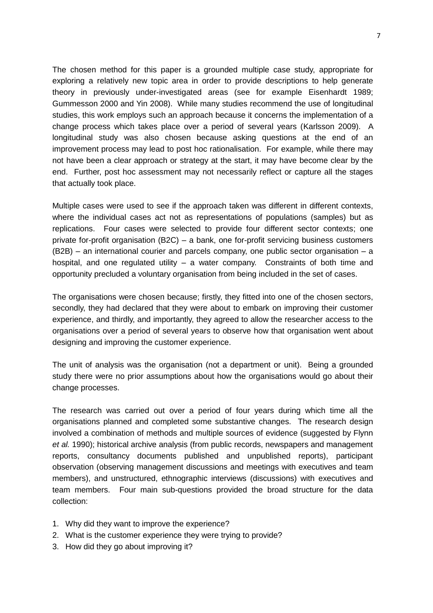The chosen method for this paper is a grounded multiple case study, appropriate for exploring a relatively new topic area in order to provide descriptions to help generate theory in previously under-investigated areas (see for example Eisenhardt 1989; Gummesson 2000 and Yin 2008). While many studies recommend the use of longitudinal studies, this work employs such an approach because it concerns the implementation of a change process which takes place over a period of several years (Karlsson 2009). A longitudinal study was also chosen because asking questions at the end of an improvement process may lead to post hoc rationalisation. For example, while there may not have been a clear approach or strategy at the start, it may have become clear by the end. Further, post hoc assessment may not necessarily reflect or capture all the stages that actually took place.

Multiple cases were used to see if the approach taken was different in different contexts, where the individual cases act not as representations of populations (samples) but as replications. Four cases were selected to provide four different sector contexts; one private for-profit organisation (B2C) – a bank, one for-profit servicing business customers (B2B) – an international courier and parcels company, one public sector organisation – a hospital, and one regulated utility – a water company. Constraints of both time and opportunity precluded a voluntary organisation from being included in the set of cases.

The organisations were chosen because; firstly, they fitted into one of the chosen sectors, secondly, they had declared that they were about to embark on improving their customer experience, and thirdly, and importantly, they agreed to allow the researcher access to the organisations over a period of several years to observe how that organisation went about designing and improving the customer experience.

The unit of analysis was the organisation (not a department or unit). Being a grounded study there were no prior assumptions about how the organisations would go about their change processes.

The research was carried out over a period of four years during which time all the organisations planned and completed some substantive changes. The research design involved a combination of methods and multiple sources of evidence (suggested by Flynn *et al.* 1990); historical archive analysis (from public records, newspapers and management reports, consultancy documents published and unpublished reports), participant observation (observing management discussions and meetings with executives and team members), and unstructured, ethnographic interviews (discussions) with executives and team members. Four main sub-questions provided the broad structure for the data collection:

- 1. Why did they want to improve the experience?
- 2. What is the customer experience they were trying to provide?
- 3. How did they go about improving it?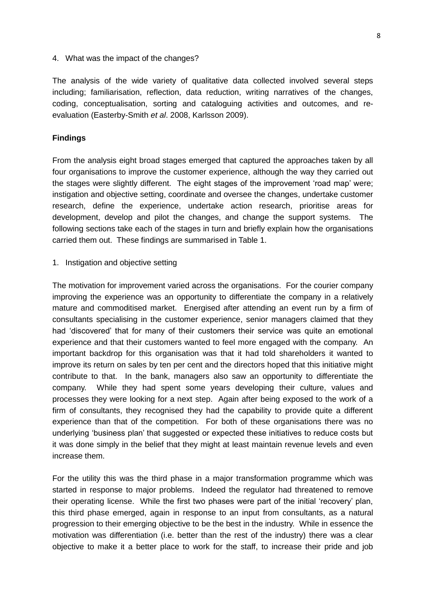4. What was the impact of the changes?

The analysis of the wide variety of qualitative data collected involved several steps including; familiarisation, reflection, data reduction, writing narratives of the changes, coding, conceptualisation, sorting and cataloguing activities and outcomes, and reevaluation (Easterby-Smith *et al*. 2008, Karlsson 2009).

## **Findings**

From the analysis eight broad stages emerged that captured the approaches taken by all four organisations to improve the customer experience, although the way they carried out the stages were slightly different. The eight stages of the improvement "road map" were; instigation and objective setting, coordinate and oversee the changes, undertake customer research, define the experience, undertake action research, prioritise areas for development, develop and pilot the changes, and change the support systems. The following sections take each of the stages in turn and briefly explain how the organisations carried them out. These findings are summarised in Table 1.

1. Instigation and objective setting

The motivation for improvement varied across the organisations. For the courier company improving the experience was an opportunity to differentiate the company in a relatively mature and commoditised market. Energised after attending an event run by a firm of consultants specialising in the customer experience, senior managers claimed that they had "discovered" that for many of their customers their service was quite an emotional experience and that their customers wanted to feel more engaged with the company. An important backdrop for this organisation was that it had told shareholders it wanted to improve its return on sales by ten per cent and the directors hoped that this initiative might contribute to that. In the bank, managers also saw an opportunity to differentiate the company. While they had spent some years developing their culture, values and processes they were looking for a next step. Again after being exposed to the work of a firm of consultants, they recognised they had the capability to provide quite a different experience than that of the competition. For both of these organisations there was no underlying "business plan" that suggested or expected these initiatives to reduce costs but it was done simply in the belief that they might at least maintain revenue levels and even increase them.

For the utility this was the third phase in a major transformation programme which was started in response to major problems. Indeed the regulator had threatened to remove their operating license. While the first two phases were part of the initial "recovery" plan, this third phase emerged, again in response to an input from consultants, as a natural progression to their emerging objective to be the best in the industry. While in essence the motivation was differentiation (i.e. better than the rest of the industry) there was a clear objective to make it a better place to work for the staff, to increase their pride and job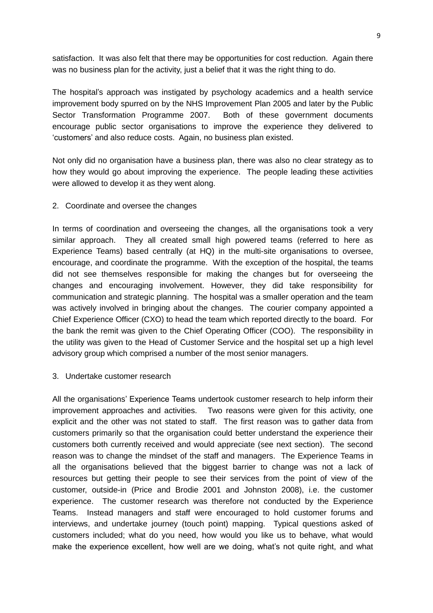satisfaction. It was also felt that there may be opportunities for cost reduction. Again there was no business plan for the activity, just a belief that it was the right thing to do.

The hospital"s approach was instigated by psychology academics and a health service improvement body spurred on by the NHS Improvement Plan 2005 and later by the Public Sector Transformation Programme 2007. Both of these government documents encourage public sector organisations to improve the experience they delivered to "customers" and also reduce costs. Again, no business plan existed.

Not only did no organisation have a business plan, there was also no clear strategy as to how they would go about improving the experience. The people leading these activities were allowed to develop it as they went along.

2. Coordinate and oversee the changes

In terms of coordination and overseeing the changes, all the organisations took a very similar approach. They all created small high powered teams (referred to here as Experience Teams) based centrally (at HQ) in the multi-site organisations to oversee, encourage, and coordinate the programme. With the exception of the hospital, the teams did not see themselves responsible for making the changes but for overseeing the changes and encouraging involvement. However, they did take responsibility for communication and strategic planning. The hospital was a smaller operation and the team was actively involved in bringing about the changes. The courier company appointed a Chief Experience Officer (CXO) to head the team which reported directly to the board. For the bank the remit was given to the Chief Operating Officer (COO). The responsibility in the utility was given to the Head of Customer Service and the hospital set up a high level advisory group which comprised a number of the most senior managers.

3. Undertake customer research

All the organisations" Experience Teams undertook customer research to help inform their improvement approaches and activities. Two reasons were given for this activity, one explicit and the other was not stated to staff. The first reason was to gather data from customers primarily so that the organisation could better understand the experience their customers both currently received and would appreciate (see next section). The second reason was to change the mindset of the staff and managers. The Experience Teams in all the organisations believed that the biggest barrier to change was not a lack of resources but getting their people to see their services from the point of view of the customer, outside-in (Price and Brodie 2001 and Johnston 2008), i.e. the customer experience. The customer research was therefore not conducted by the Experience Teams. Instead managers and staff were encouraged to hold customer forums and interviews, and undertake journey (touch point) mapping. Typical questions asked of customers included; what do you need, how would you like us to behave, what would make the experience excellent, how well are we doing, what"s not quite right, and what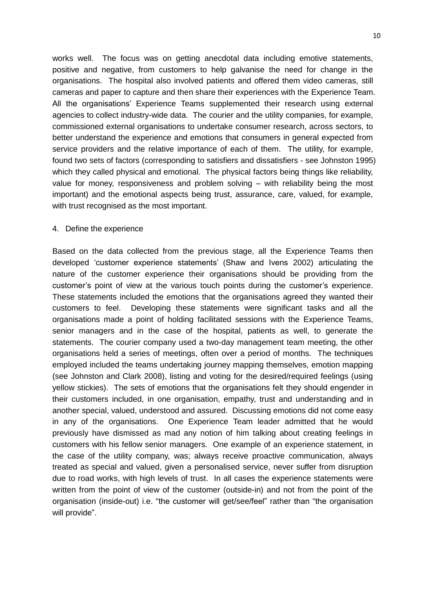works well. The focus was on getting anecdotal data including emotive statements, positive and negative, from customers to help galvanise the need for change in the organisations. The hospital also involved patients and offered them video cameras, still cameras and paper to capture and then share their experiences with the Experience Team. All the organisations" Experience Teams supplemented their research using external agencies to collect industry-wide data. The courier and the utility companies, for example, commissioned external organisations to undertake consumer research, across sectors, to better understand the experience and emotions that consumers in general expected from service providers and the relative importance of each of them. The utility, for example, found two sets of factors (corresponding to satisfiers and dissatisfiers - see Johnston 1995) which they called physical and emotional. The physical factors being things like reliability, value for money, responsiveness and problem solving – with reliability being the most important) and the emotional aspects being trust, assurance, care, valued, for example, with trust recognised as the most important.

## 4. Define the experience

Based on the data collected from the previous stage, all the Experience Teams then developed "customer experience statements" (Shaw and Ivens 2002) articulating the nature of the customer experience their organisations should be providing from the customer"s point of view at the various touch points during the customer"s experience. These statements included the emotions that the organisations agreed they wanted their customers to feel. Developing these statements were significant tasks and all the organisations made a point of holding facilitated sessions with the Experience Teams, senior managers and in the case of the hospital, patients as well, to generate the statements. The courier company used a two-day management team meeting, the other organisations held a series of meetings, often over a period of months. The techniques employed included the teams undertaking journey mapping themselves, emotion mapping (see Johnston and Clark 2008), listing and voting for the desired/required feelings (using yellow stickies). The sets of emotions that the organisations felt they should engender in their customers included, in one organisation, empathy, trust and understanding and in another special, valued, understood and assured. Discussing emotions did not come easy in any of the organisations. One Experience Team leader admitted that he would previously have dismissed as mad any notion of him talking about creating feelings in customers with his fellow senior managers. One example of an experience statement, in the case of the utility company, was; always receive proactive communication, always treated as special and valued, given a personalised service, never suffer from disruption due to road works, with high levels of trust. In all cases the experience statements were written from the point of view of the customer (outside-in) and not from the point of the organisation (inside-out) i.e. "the customer will get/see/feel" rather than "the organisation will provide".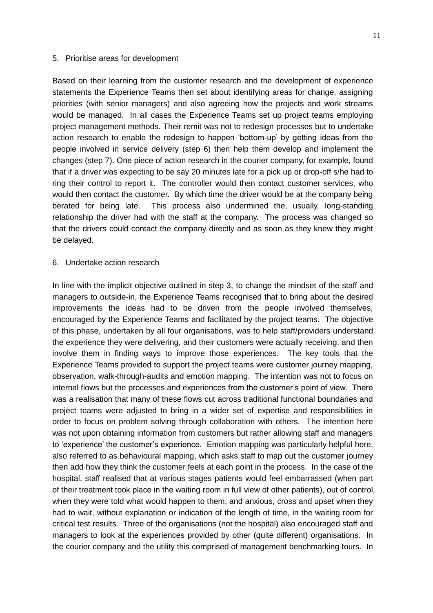#### 5. Prioritise areas for development

Based on their learning from the customer research and the development of experience statements the Experience Teams then set about identifying areas for change, assigning priorities (with senior managers) and also agreeing how the projects and work streams would be managed. In all cases the Experience Teams set up project teams employing project management methods. Their remit was not to redesign processes but to undertake action research to enable the redesign to happen "bottom-up" by getting ideas from the people involved in service delivery (step 6) then help them develop and implement the changes (step 7). One piece of action research in the courier company, for example, found that if a driver was expecting to be say 20 minutes late for a pick up or drop-off s/he had to ring their control to report it. The controller would then contact customer services, who would then contact the customer. By which time the driver would be at the company being berated for being late. This process also undermined the, usually, long-standing relationship the driver had with the staff at the company. The process was changed so that the drivers could contact the company directly and as soon as they knew they might be delayed.

## 6. Undertake action research

In line with the implicit objective outlined in step 3, to change the mindset of the staff and managers to outside-in, the Experience Teams recognised that to bring about the desired improvements the ideas had to be driven from the people involved themselves, encouraged by the Experience Teams and facilitated by the project teams. The objective of this phase, undertaken by all four organisations, was to help staff/providers understand the experience they were delivering, and their customers were actually receiving, and then involve them in finding ways to improve those experiences. The key tools that the Experience Teams provided to support the project teams were customer journey mapping, observation, walk-through-audits and emotion mapping. The intention was not to focus on internal flows but the processes and experiences from the customer"s point of view. There was a realisation that many of these flows cut across traditional functional boundaries and project teams were adjusted to bring in a wider set of expertise and responsibilities in order to focus on problem solving through collaboration with others. The intention here was not upon obtaining information from customers but rather allowing staff and managers to 'experience' the customer's experience. Emotion mapping was particularly helpful here, also referred to as behavioural mapping, which asks staff to map out the customer journey then add how they think the customer feels at each point in the process. In the case of the hospital, staff realised that at various stages patients would feel embarrassed (when part of their treatment took place in the waiting room in full view of other patients), out of control, when they were told what would happen to them, and anxious, cross and upset when they had to wait, without explanation or indication of the length of time, in the waiting room for critical test results. Three of the organisations (not the hospital) also encouraged staff and managers to look at the experiences provided by other (quite different) organisations. In the courier company and the utility this comprised of management benchmarking tours. In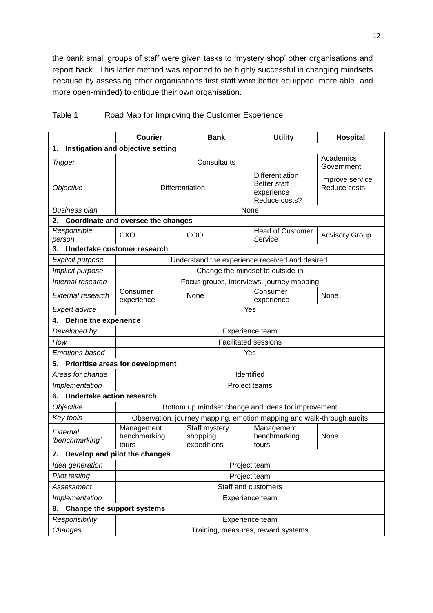the bank small groups of staff were given tasks to "mystery shop" other organisations and report back. This latter method was reported to be highly successful in changing mindsets because by assessing other organisations first staff were better equipped, more able and more open-minded) to critique their own organisation.

|                                        | <b>Courier</b>                      | <b>Bank</b>                              | <b>Utility</b>                                                        | <b>Hospital</b>                 |
|----------------------------------------|-------------------------------------|------------------------------------------|-----------------------------------------------------------------------|---------------------------------|
| 1.                                     | Instigation and objective setting   |                                          |                                                                       |                                 |
| <b>Trigger</b>                         |                                     | Consultants                              |                                                                       | Academics<br>Government         |
| Objective                              | Differentiation                     |                                          | Differentiation<br><b>Better</b> staff<br>experience<br>Reduce costs? | Improve service<br>Reduce costs |
| <b>Business plan</b>                   |                                     |                                          | None                                                                  |                                 |
| 2.                                     | Coordinate and oversee the changes  |                                          |                                                                       |                                 |
| Responsible<br>person                  | CXO                                 | COO                                      | <b>Head of Customer</b><br>Service                                    | <b>Advisory Group</b>           |
| 3.                                     | Undertake customer research         |                                          |                                                                       |                                 |
| <b>Explicit purpose</b>                |                                     |                                          | Understand the experience received and desired.                       |                                 |
| Implicit purpose                       |                                     |                                          | Change the mindset to outside-in                                      |                                 |
| Internal research                      |                                     |                                          | Focus groups, interviews, journey mapping                             |                                 |
| External research                      | Consumer<br>experience              | None                                     | Consumer<br>experience                                                | None                            |
| <b>Expert advice</b>                   |                                     |                                          | Yes                                                                   |                                 |
| Define the experience<br>4.            |                                     |                                          |                                                                       |                                 |
| Developed by                           |                                     |                                          | Experience team                                                       |                                 |
| How                                    |                                     |                                          | <b>Facilitated sessions</b>                                           |                                 |
| Emotions-based                         |                                     |                                          | Yes                                                                   |                                 |
| 5.                                     | Prioritise areas for development    |                                          |                                                                       |                                 |
| Areas for change                       |                                     |                                          | Identified                                                            |                                 |
| Implementation                         |                                     |                                          | Project teams                                                         |                                 |
| <b>Undertake action research</b><br>6. |                                     |                                          |                                                                       |                                 |
| Objective                              |                                     |                                          | Bottom up mindset change and ideas for improvement                    |                                 |
| Key tools                              |                                     |                                          | Observation, journey mapping, emotion mapping and walk-through audits |                                 |
| External<br>'benchmarking'             | Management<br>benchmarking<br>tours | Staff mystery<br>shopping<br>expeditions | Management<br>benchmarking<br>tours                                   | None                            |
| 7.                                     | Develop and pilot the changes       |                                          |                                                                       |                                 |
| Idea generation                        |                                     |                                          | Project team                                                          |                                 |
| <b>Pilot testing</b>                   |                                     |                                          | Project team                                                          |                                 |
| Assessment                             |                                     |                                          | Staff and customers                                                   |                                 |
| Implementation                         |                                     |                                          | Experience team                                                       |                                 |
| Change the support systems<br>8.       |                                     |                                          |                                                                       |                                 |
| Responsibility                         |                                     |                                          | Experience team                                                       |                                 |
| Changes                                |                                     |                                          | Training, measures, reward systems                                    |                                 |

# Table 1 Road Map for Improving the Customer Experience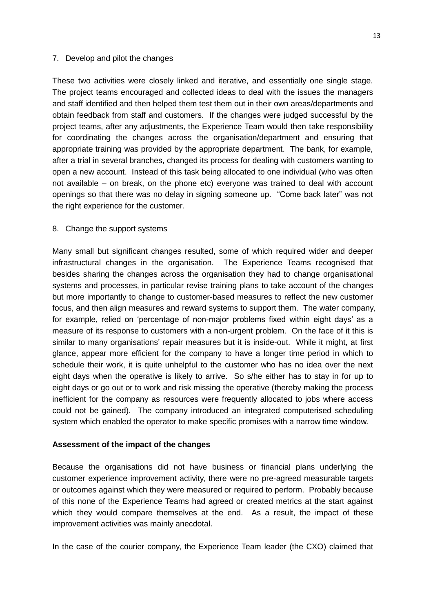## 7. Develop and pilot the changes

These two activities were closely linked and iterative, and essentially one single stage. The project teams encouraged and collected ideas to deal with the issues the managers and staff identified and then helped them test them out in their own areas/departments and obtain feedback from staff and customers. If the changes were judged successful by the project teams, after any adjustments, the Experience Team would then take responsibility for coordinating the changes across the organisation/department and ensuring that appropriate training was provided by the appropriate department. The bank, for example, after a trial in several branches, changed its process for dealing with customers wanting to open a new account. Instead of this task being allocated to one individual (who was often not available – on break, on the phone etc) everyone was trained to deal with account openings so that there was no delay in signing someone up. "Come back later" was not the right experience for the customer.

## 8. Change the support systems

Many small but significant changes resulted, some of which required wider and deeper infrastructural changes in the organisation. The Experience Teams recognised that besides sharing the changes across the organisation they had to change organisational systems and processes, in particular revise training plans to take account of the changes but more importantly to change to customer-based measures to reflect the new customer focus, and then align measures and reward systems to support them. The water company, for example, relied on "percentage of non-major problems fixed within eight days" as a measure of its response to customers with a non-urgent problem. On the face of it this is similar to many organisations" repair measures but it is inside-out. While it might, at first glance, appear more efficient for the company to have a longer time period in which to schedule their work, it is quite unhelpful to the customer who has no idea over the next eight days when the operative is likely to arrive. So s/he either has to stay in for up to eight days or go out or to work and risk missing the operative (thereby making the process inefficient for the company as resources were frequently allocated to jobs where access could not be gained). The company introduced an integrated computerised scheduling system which enabled the operator to make specific promises with a narrow time window.

#### **Assessment of the impact of the changes**

Because the organisations did not have business or financial plans underlying the customer experience improvement activity, there were no pre-agreed measurable targets or outcomes against which they were measured or required to perform. Probably because of this none of the Experience Teams had agreed or created metrics at the start against which they would compare themselves at the end. As a result, the impact of these improvement activities was mainly anecdotal.

In the case of the courier company, the Experience Team leader (the CXO) claimed that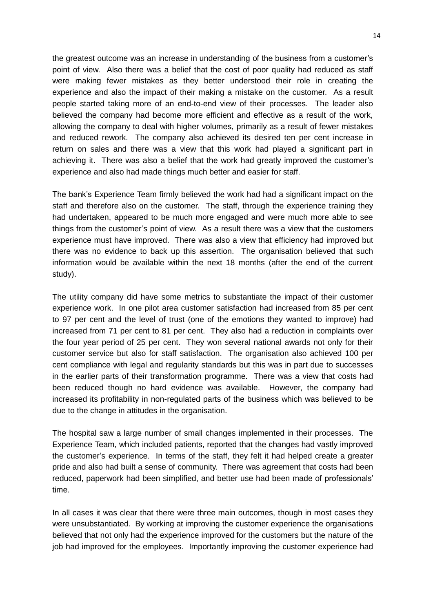the greatest outcome was an increase in understanding of the business from a customer"s point of view. Also there was a belief that the cost of poor quality had reduced as staff were making fewer mistakes as they better understood their role in creating the experience and also the impact of their making a mistake on the customer. As a result people started taking more of an end-to-end view of their processes. The leader also believed the company had become more efficient and effective as a result of the work, allowing the company to deal with higher volumes, primarily as a result of fewer mistakes and reduced rework. The company also achieved its desired ten per cent increase in return on sales and there was a view that this work had played a significant part in achieving it. There was also a belief that the work had greatly improved the customer"s experience and also had made things much better and easier for staff.

The bank"s Experience Team firmly believed the work had had a significant impact on the staff and therefore also on the customer. The staff, through the experience training they had undertaken, appeared to be much more engaged and were much more able to see things from the customer"s point of view. As a result there was a view that the customers experience must have improved. There was also a view that efficiency had improved but there was no evidence to back up this assertion. The organisation believed that such information would be available within the next 18 months (after the end of the current study).

The utility company did have some metrics to substantiate the impact of their customer experience work. In one pilot area customer satisfaction had increased from 85 per cent to 97 per cent and the level of trust (one of the emotions they wanted to improve) had increased from 71 per cent to 81 per cent. They also had a reduction in complaints over the four year period of 25 per cent. They won several national awards not only for their customer service but also for staff satisfaction. The organisation also achieved 100 per cent compliance with legal and regularity standards but this was in part due to successes in the earlier parts of their transformation programme. There was a view that costs had been reduced though no hard evidence was available. However, the company had increased its profitability in non-regulated parts of the business which was believed to be due to the change in attitudes in the organisation.

The hospital saw a large number of small changes implemented in their processes. The Experience Team, which included patients, reported that the changes had vastly improved the customer"s experience. In terms of the staff, they felt it had helped create a greater pride and also had built a sense of community. There was agreement that costs had been reduced, paperwork had been simplified, and better use had been made of professionals" time.

In all cases it was clear that there were three main outcomes, though in most cases they were unsubstantiated. By working at improving the customer experience the organisations believed that not only had the experience improved for the customers but the nature of the job had improved for the employees. Importantly improving the customer experience had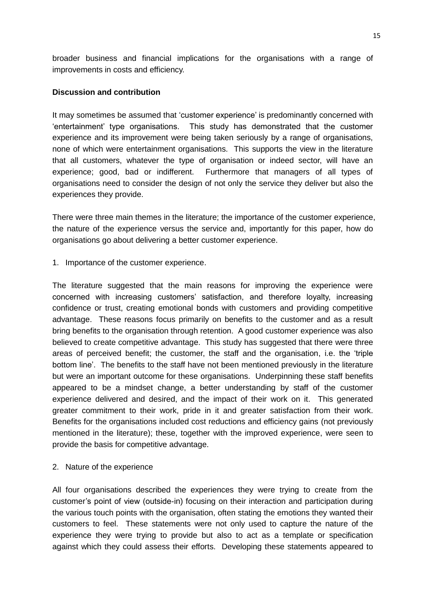broader business and financial implications for the organisations with a range of improvements in costs and efficiency.

# **Discussion and contribution**

It may sometimes be assumed that 'customer experience' is predominantly concerned with "entertainment" type organisations. This study has demonstrated that the customer experience and its improvement were being taken seriously by a range of organisations, none of which were entertainment organisations. This supports the view in the literature that all customers, whatever the type of organisation or indeed sector, will have an experience; good, bad or indifferent. Furthermore that managers of all types of organisations need to consider the design of not only the service they deliver but also the experiences they provide.

There were three main themes in the literature; the importance of the customer experience, the nature of the experience versus the service and, importantly for this paper, how do organisations go about delivering a better customer experience.

1. Importance of the customer experience.

The literature suggested that the main reasons for improving the experience were concerned with increasing customers" satisfaction, and therefore loyalty, increasing confidence or trust, creating emotional bonds with customers and providing competitive advantage. These reasons focus primarily on benefits to the customer and as a result bring benefits to the organisation through retention. A good customer experience was also believed to create competitive advantage. This study has suggested that there were three areas of perceived benefit; the customer, the staff and the organisation, i.e. the "triple bottom line". The benefits to the staff have not been mentioned previously in the literature but were an important outcome for these organisations. Underpinning these staff benefits appeared to be a mindset change, a better understanding by staff of the customer experience delivered and desired, and the impact of their work on it. This generated greater commitment to their work, pride in it and greater satisfaction from their work. Benefits for the organisations included cost reductions and efficiency gains (not previously mentioned in the literature); these, together with the improved experience, were seen to provide the basis for competitive advantage.

## 2. Nature of the experience

All four organisations described the experiences they were trying to create from the customer"s point of view (outside-in) focusing on their interaction and participation during the various touch points with the organisation, often stating the emotions they wanted their customers to feel. These statements were not only used to capture the nature of the experience they were trying to provide but also to act as a template or specification against which they could assess their efforts. Developing these statements appeared to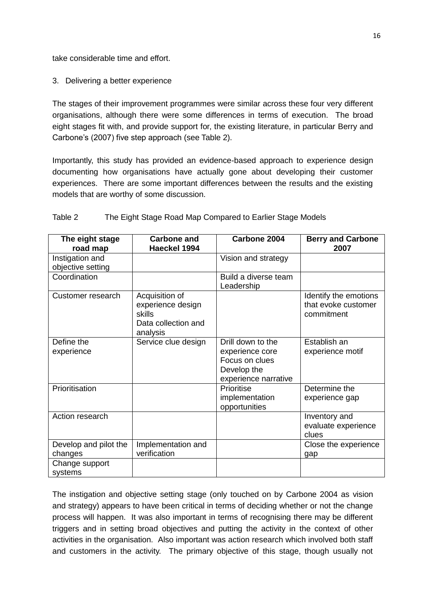take considerable time and effort.

3. Delivering a better experience

The stages of their improvement programmes were similar across these four very different organisations, although there were some differences in terms of execution. The broad eight stages fit with, and provide support for, the existing literature, in particular Berry and Carbone"s (2007) five step approach (see Table 2).

Importantly, this study has provided an evidence-based approach to experience design documenting how organisations have actually gone about developing their customer experiences. There are some important differences between the results and the existing models that are worthy of some discussion.

| The eight stage<br>road map          | <b>Carbone and</b><br>Haeckel 1994                                               | Carbone 2004                                                                                  | <b>Berry and Carbone</b><br>2007                           |
|--------------------------------------|----------------------------------------------------------------------------------|-----------------------------------------------------------------------------------------------|------------------------------------------------------------|
| Instigation and<br>objective setting |                                                                                  | Vision and strategy                                                                           |                                                            |
| Coordination                         |                                                                                  | Build a diverse team<br>Leadership                                                            |                                                            |
| Customer research                    | Acquisition of<br>experience design<br>skills<br>Data collection and<br>analysis |                                                                                               | Identify the emotions<br>that evoke customer<br>commitment |
| Define the<br>experience             | Service clue design                                                              | Drill down to the<br>experience core<br>Focus on clues<br>Develop the<br>experience narrative | Establish an<br>experience motif                           |
| Prioritisation                       |                                                                                  | Prioritise<br>implementation<br>opportunities                                                 | Determine the<br>experience gap                            |
| Action research                      |                                                                                  |                                                                                               | Inventory and<br>evaluate experience<br>clues              |
| Develop and pilot the<br>changes     | Implementation and<br>verification                                               |                                                                                               | Close the experience<br>gap                                |
| Change support<br>systems            |                                                                                  |                                                                                               |                                                            |

Table 2 The Eight Stage Road Map Compared to Earlier Stage Models

The instigation and objective setting stage (only touched on by Carbone 2004 as vision and strategy) appears to have been critical in terms of deciding whether or not the change process will happen. It was also important in terms of recognising there may be different triggers and in setting broad objectives and putting the activity in the context of other activities in the organisation. Also important was action research which involved both staff and customers in the activity. The primary objective of this stage, though usually not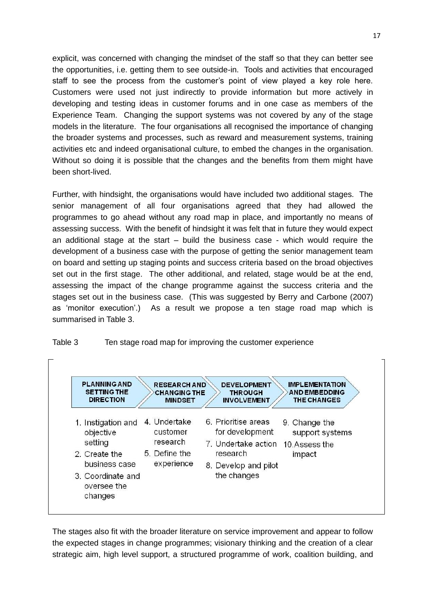explicit, was concerned with changing the mindset of the staff so that they can better see the opportunities, i.e. getting them to see outside-in. Tools and activities that encouraged staff to see the process from the customer's point of view played a key role here. Customers were used not just indirectly to provide information but more actively in developing and testing ideas in customer forums and in one case as members of the Experience Team. Changing the support systems was not covered by any of the stage models in the literature. The four organisations all recognised the importance of changing the broader systems and processes, such as reward and measurement systems, training activities etc and indeed organisational culture, to embed the changes in the organisation. Without so doing it is possible that the changes and the benefits from them might have been short-lived.

Further, with hindsight, the organisations would have included two additional stages. The senior management of all four organisations agreed that they had allowed the programmes to go ahead without any road map in place, and importantly no means of assessing success. With the benefit of hindsight it was felt that in future they would expect an additional stage at the start – build the business case - which would require the development of a business case with the purpose of getting the senior management team on board and setting up staging points and success criteria based on the broad objectives set out in the first stage. The other additional, and related, stage would be at the end, assessing the impact of the change programme against the success criteria and the stages set out in the business case. (This was suggested by Berry and Carbone (2007) as "monitor execution".) As a result we propose a ten stage road map which is summarised in Table 3.

| Table 3 | Ten stage road map for improving the customer experience |  |  |
|---------|----------------------------------------------------------|--|--|
|         |                                                          |  |  |

 $\overline{\Gamma}$ 

| <b>PLANNING AND</b><br><b>SETTING THE</b><br><b>DIRECTION</b>                | <b>RESEARCH AND</b><br><b>CHANGING THE</b><br><b>MINDSET</b>        | <b>DEVELOPMENT</b><br><b>THROUGH</b><br><b>INVOLVEMENT</b>                                        | <b>IMPLEMENTATION</b><br><b>AND EMBEDDING</b><br><b>THE CHANGES</b> |
|------------------------------------------------------------------------------|---------------------------------------------------------------------|---------------------------------------------------------------------------------------------------|---------------------------------------------------------------------|
| 1. Instigation and<br>objective<br>setting<br>2. Create the<br>business case | 4. Undertake<br>customer<br>research<br>5. Define the<br>experience | 6. Prioritise areas<br>for development<br>7. Undertake action<br>research<br>8. Develop and pilot | 9. Change the<br>support systems<br>10 Assess the<br>impact         |
| 3. Coordinate and<br>oversee the<br>changes                                  |                                                                     | the changes                                                                                       |                                                                     |

The stages also fit with the broader literature on service improvement and appear to follow the expected stages in change programmes; visionary thinking and the creation of a clear strategic aim, high level support, a structured programme of work, coalition building, and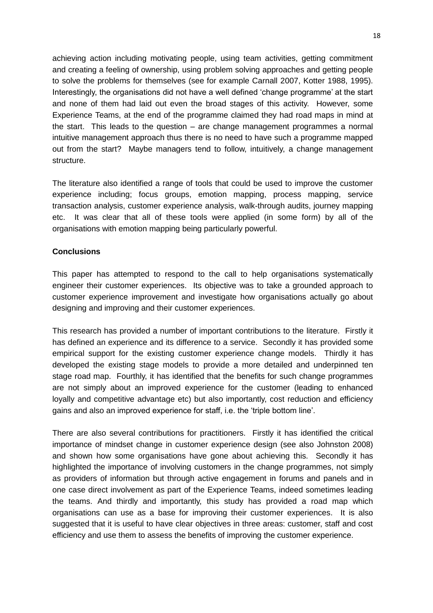achieving action including motivating people, using team activities, getting commitment and creating a feeling of ownership, using problem solving approaches and getting people to solve the problems for themselves (see for example Carnall 2007, Kotter 1988, 1995). Interestingly, the organisations did not have a well defined "change programme" at the start and none of them had laid out even the broad stages of this activity. However, some Experience Teams, at the end of the programme claimed they had road maps in mind at the start. This leads to the question – are change management programmes a normal intuitive management approach thus there is no need to have such a programme mapped out from the start? Maybe managers tend to follow, intuitively, a change management structure.

The literature also identified a range of tools that could be used to improve the customer experience including; focus groups, emotion mapping, process mapping, service transaction analysis, customer experience analysis, walk-through audits, journey mapping etc. It was clear that all of these tools were applied (in some form) by all of the organisations with emotion mapping being particularly powerful.

# **Conclusions**

This paper has attempted to respond to the call to help organisations systematically engineer their customer experiences. Its objective was to take a grounded approach to customer experience improvement and investigate how organisations actually go about designing and improving and their customer experiences.

This research has provided a number of important contributions to the literature. Firstly it has defined an experience and its difference to a service. Secondly it has provided some empirical support for the existing customer experience change models. Thirdly it has developed the existing stage models to provide a more detailed and underpinned ten stage road map. Fourthly, it has identified that the benefits for such change programmes are not simply about an improved experience for the customer (leading to enhanced loyally and competitive advantage etc) but also importantly, cost reduction and efficiency gains and also an improved experience for staff, i.e. the "triple bottom line".

There are also several contributions for practitioners. Firstly it has identified the critical importance of mindset change in customer experience design (see also Johnston 2008) and shown how some organisations have gone about achieving this. Secondly it has highlighted the importance of involving customers in the change programmes, not simply as providers of information but through active engagement in forums and panels and in one case direct involvement as part of the Experience Teams, indeed sometimes leading the teams. And thirdly and importantly, this study has provided a road map which organisations can use as a base for improving their customer experiences. It is also suggested that it is useful to have clear objectives in three areas: customer, staff and cost efficiency and use them to assess the benefits of improving the customer experience.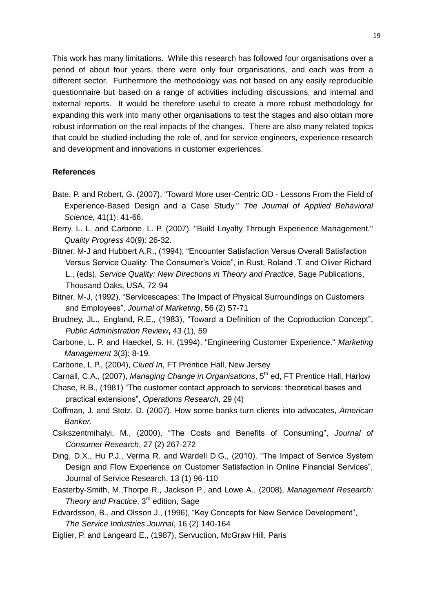This work has many limitations. While this research has followed four organisations over a period of about four years, there were only four organisations, and each was from a different sector. Furthermore the methodology was not based on any easily reproducible questionnaire but based on a range of activities including discussions, and internal and external reports. It would be therefore useful to create a more robust methodology for expanding this work into many other organisations to test the stages and also obtain more robust information on the real impacts of the changes. There are also many related topics that could be studied including the role of, and for service engineers, experience research and development and innovations in customer experiences.

## **References**

- Bate, P. and Robert, G. (2007). "Toward More user-Centric OD Lessons From the Field of Experience-Based Design and a Case Study." *The Journal of Applied Behavioral Science,* 41(1): 41-66.
- Berry, L. L. and Carbone, L. P. (2007). "Build Loyalty Through Experience Management." *Quality Progress* 40(9): 26-32.
- Bitner, M-J and Hubbert A,R., (1994), "Encounter Satisfaction Versus Overall Satisfaction Versus Service Quality: The Consumer"s Voice", in Rust, Roland .T. and Oliver Richard L., (eds), *Service Quality: New Directions in Theory and Practice*, Sage Publications, Thousand Oaks, USA, 72-94
- Bitner, M-J, (1992), "Servicescapes: The Impact of Physical Surroundings on Customers and Employees", *Journal of Marketing*, 56 (2) 57-71
- Brudney, JL., England, R.E., (1983), "Toward a Definition of the Coproduction Concept", *Public Administration Review***,** 43 (1), 59
- Carbone, L. P. and Haeckel, S. H. (1994). "Engineering Customer Experience." *Marketing Management* 3(3): 8-19.
- Carbone, L.P., (2004), *Clued In*, FT Prentice Hall, New Jersey

Carnall, C.A., (2007), *Managing Change in Organisations*, 5<sup>th</sup> ed, FT Prentice Hall, Harlow

- Chase, R.B., (1981) "The customer contact approach to services: theoretical bases and practical extensions", *Operations Research*, 29 (4)
- Coffman, J. and Stotz, D. (2007). How some banks turn clients into advocates, *American Banker.*
- Csikszentmihalyi, M., (2000), "The Costs and Benefits of Consuming", *Journal of Consumer Research*, 27 (2) 267-272
- Ding, D.X., Hu P.J., Verma R. and Wardell D.G., (2010), "The Impact of Service System Design and Flow Experience on Customer Satisfaction in Online Financial Services", Journal of Service Research, 13 (1) 96-110
- Easterby-Smith, M.,Thorpe R., Jackson P., and Lowe A., (2008), *Management Research: Theory and Practice*, 3rd edition, Sage
- Edvardsson, B., and Olsson J., (1996), "Key Concepts for New Service Development", *The Service Industries Journal*, 16 (2) 140-164
- Eiglier, P. and Langeard E., (1987), Servuction, McGraw Hill, Paris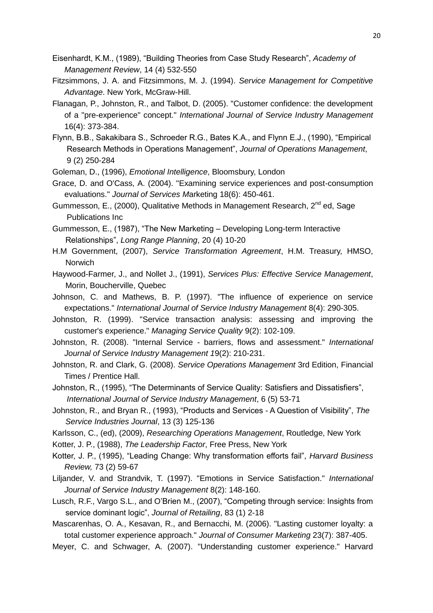- Eisenhardt, K.M., (1989), "Building Theories from Case Study Research", *Academy of Management Review*, 14 (4) 532-550
- Fitzsimmons, J. A. and Fitzsimmons, M. J. (1994). *Service Management for Competitive Advantage*. New York, McGraw-Hill.
- Flanagan, P., Johnston, R., and Talbot, D. (2005). "Customer confidence: the development of a "pre-experience" concept." *International Journal of Service Industry Management* 16(4): 373-384.
- Flynn, B.B., Sakakibara S., Schroeder R.G., Bates K.A., and Flynn E.J., (1990), "Empirical Research Methods in Operations Management", *Journal of Operations Management*, 9 (2) 250-284
- Goleman, D., (1996), *Emotional Intelligence*, Bloomsbury, London
- Grace, D. and O'Cass, A. (2004). "Examining service experiences and post-consumption evaluations." *Journal of Services M*arketing 18(6): 450-461.
- Gummesson, E., (2000), Qualitative Methods in Management Research,  $2^{nd}$  ed. Sage Publications Inc
- Gummesson, E., (1987), "The New Marketing Developing Long-term Interactive Relationships", *Long Range Planning*, 20 (4) 10-20
- H.M Government, (2007), *Service Transformation Agreement*, H.M. Treasury, HMSO, **Norwich**
- Haywood-Farmer, J., and Nollet J., (1991), *Services Plus: Effective Service Management*, Morin, Boucherville, Quebec
- Johnson, C. and Mathews, B. P. (1997). "The influence of experience on service expectations." *International Journal of Service Industry Management* 8(4): 290-305.
- Johnston, R. (1999). "Service transaction analysis: assessing and improving the customer's experience." *Managing Service Quality* 9(2): 102-109.
- Johnston, R. (2008). "Internal Service barriers, flows and assessment." *International Journal of Service Industry Management 1*9(2): 210-231.
- Johnston, R. and Clark, G. (2008). *Service Operations Management* 3rd Edition, Financial Times / Prentice Hall.
- Johnston, R., (1995), "The Determinants of Service Quality: Satisfiers and Dissatisfiers", *International Journal of Service Industry Management*, 6 (5) 53-71
- Johnston, R., and Bryan R., (1993), "Products and Services A Question of Visibility", *The Service Industries Journal*, 13 (3) 125-136
- Karlsson, C., (ed), (2009), *Researching Operations Management*, Routledge, New York
- Kotter, J. P., (1988), *The Leadership Factor*, Free Press, New York
- Kotter, J. P., (1995), "Leading Change: Why transformation efforts fail", *Harvard Business Review,* 73 (2) 59-67
- Liljander, V. and Strandvik, T. (1997). "Emotions in Service Satisfaction." *International Journal of Service Industry Management* 8(2): 148-160.
- Lusch, R.F., Vargo S.L., and O"Brien M., (2007), "Competing through service: Insights from service dominant logic", *Journal of Retailing*, 83 (1) 2-18
- Mascarenhas, O. A., Kesavan, R., and Bernacchi, M. (2006). "Lasting customer loyalty: a total customer experience approach." *Journal of Consumer Marketing* 23(7): 387-405.
- Meyer, C. and Schwager, A. (2007). "Understanding customer experience." Harvard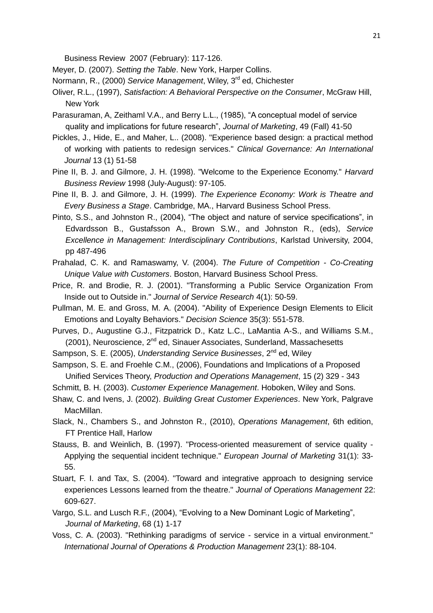Business Review 2007 (February): 117-126.

- Meyer, D. (2007). *Setting the Table*. New York, Harper Collins.
- Normann, R., (2000) *Service Management*, Wiley, 3<sup>rd</sup> ed, Chichester
- Oliver, R.L., (1997), *Satisfaction: A Behavioral Perspective on the Consumer*, McGraw Hill, New York
- Parasuraman, A, Zeithaml V.A., and Berry L.L., (1985), "A conceptual model of service quality and implications for future research", *Journal of Marketing*, 49 (Fall) 41-50
- Pickles, J., Hide, E., and Maher, L.. (2008). "Experience based design: a practical method of working with patients to redesign services." *Clinical Governance: An International Journal* 13 (1) 51-58
- Pine II, B. J. and Gilmore, J. H. (1998). "Welcome to the Experience Economy." *Harvard Business Review* 1998 (July-August): 97-105.
- Pine II, B. J. and Gilmore, J. H. (1999). *The Experience Economy: Work is Theatre and Every Business a Stage*. Cambridge, MA., Harvard Business School Press.
- Pinto, S.S., and Johnston R., (2004), "The object and nature of service specifications", in Edvardsson B., Gustafsson A., Brown S.W., and Johnston R., (eds), *Service Excellence in Management: Interdisciplinary Contributions*, Karlstad University, 2004, pp 487-496
- Prahalad, C. K. and Ramaswamy, V. (2004). *The Future of Competition - Co-Creating Unique Value with Customers*. Boston, Harvard Business School Press.
- Price, R. and Brodie, R. J. (2001). "Transforming a Public Service Organization From Inside out to Outside in." *Journal of Service Research* 4(1): 50-59.
- Pullman, M. E. and Gross, M. A. (2004). "Ability of Experience Design Elements to Elicit Emotions and Loyalty Behaviors." *Decision Science* 35(3): 551-578.
- Purves, D., Augustine G.J., Fitzpatrick D., Katz L.C., LaMantia A-S., and Williams S.M., (2001), Neuroscience, 2<sup>nd</sup> ed, Sinauer Associates, Sunderland, Massachesetts
- Sampson, S. E. (2005), *Understanding Service Businesses*, 2nd ed, Wiley
- Sampson, S. E. and Froehle C.M., (2006), Foundations and Implications of a Proposed Unified Services Theory, *Production and Operations Management*, 15 (2) 329 - 343
- Schmitt, B. H. (2003). *Customer Experience Management*. Hoboken, Wiley and Sons.
- Shaw, C. and Ivens, J. (2002). *Building Great Customer Experiences*. New York, Palgrave MacMillan.
- Slack, N., Chambers S., and Johnston R., (2010), *Operations Management*, 6th edition, FT Prentice Hall, Harlow
- Stauss, B. and Weinlich, B. (1997). "Process-oriented measurement of service quality Applying the sequential incident technique." *European Journal of Marketing* 31(1): 33- 55.
- Stuart, F. I. and Tax, S. (2004). "Toward and integrative approach to designing service experiences Lessons learned from the theatre." *Journal of Operations Management* 22: 609-627.
- Vargo, S.L. and Lusch R.F., (2004), "Evolving to a New Dominant Logic of Marketing", *Journal of Marketing*, 68 (1) 1-17
- Voss, C. A. (2003). "Rethinking paradigms of service service in a virtual environment." *International Journal of Operations & Production Management* 23(1): 88-104.